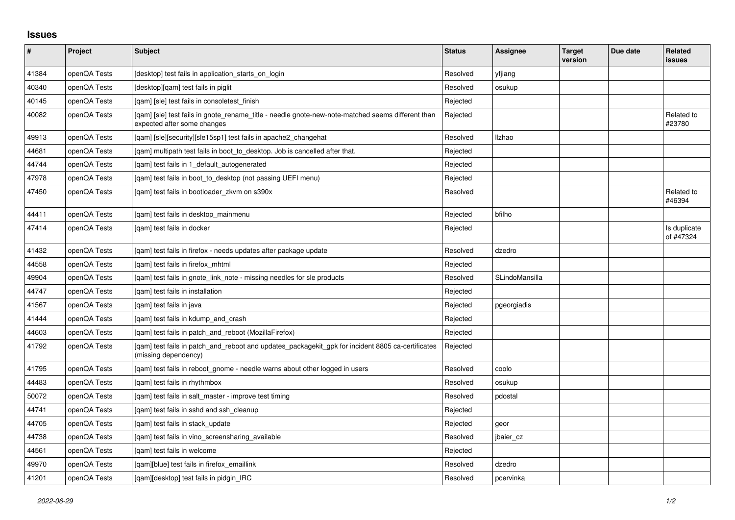## **Issues**

| $\sharp$ | Project      | Subject                                                                                                                          | <b>Status</b> | Assignee       | <b>Target</b><br>version | Due date | Related<br>issues         |
|----------|--------------|----------------------------------------------------------------------------------------------------------------------------------|---------------|----------------|--------------------------|----------|---------------------------|
| 41384    | openQA Tests | [desktop] test fails in application starts on login                                                                              | Resolved      | yfjiang        |                          |          |                           |
| 40340    | openQA Tests | [desktop][qam] test fails in piglit                                                                                              | Resolved      | osukup         |                          |          |                           |
| 40145    | openQA Tests | [gam] [sle] test fails in consoletest finish                                                                                     | Rejected      |                |                          |          |                           |
| 40082    | openQA Tests | [gam] [sle] test fails in gnote rename title - needle gnote-new-note-matched seems different than<br>expected after some changes | Rejected      |                |                          |          | Related to<br>#23780      |
| 49913    | openQA Tests | [qam] [sle][security][sle15sp1] test fails in apache2_changehat                                                                  | Resolved      | <b>Ilzhao</b>  |                          |          |                           |
| 44681    | openQA Tests | [gam] multipath test fails in boot to desktop. Job is cancelled after that.                                                      | Rejected      |                |                          |          |                           |
| 44744    | openQA Tests | [gam] test fails in 1 default autogenerated                                                                                      | Rejected      |                |                          |          |                           |
| 47978    | openQA Tests | [qam] test fails in boot_to_desktop (not passing UEFI menu)                                                                      | Rejected      |                |                          |          |                           |
| 47450    | openQA Tests | [gam] test fails in bootloader zkvm on s390x                                                                                     | Resolved      |                |                          |          | Related to<br>#46394      |
| 44411    | openQA Tests | [qam] test fails in desktop_mainmenu                                                                                             | Rejected      | bfilho         |                          |          |                           |
| 47414    | openQA Tests | [gam] test fails in docker                                                                                                       | Rejected      |                |                          |          | Is duplicate<br>of #47324 |
| 41432    | openQA Tests | [gam] test fails in firefox - needs updates after package update                                                                 | Resolved      | dzedro         |                          |          |                           |
| 44558    | openQA Tests | [qam] test fails in firefox_mhtml                                                                                                | Rejected      |                |                          |          |                           |
| 49904    | openQA Tests | [qam] test fails in gnote_link_note - missing needles for sle products                                                           | Resolved      | SLindoMansilla |                          |          |                           |
| 44747    | openQA Tests | [gam] test fails in installation                                                                                                 | Rejected      |                |                          |          |                           |
| 41567    | openQA Tests | [qam] test fails in java                                                                                                         | Rejected      | pgeorgiadis    |                          |          |                           |
| 41444    | openQA Tests | [gam] test fails in kdump and crash                                                                                              | Rejected      |                |                          |          |                           |
| 44603    | openQA Tests | [qam] test fails in patch_and_reboot (MozillaFirefox)                                                                            | Rejected      |                |                          |          |                           |
| 41792    | openQA Tests | [qam] test fails in patch_and_reboot and updates_packagekit_gpk for incident 8805 ca-certificates<br>(missing dependency)        | Rejected      |                |                          |          |                           |
| 41795    | openQA Tests | [gam] test fails in reboot gnome - needle warns about other logged in users                                                      | Resolved      | coolo          |                          |          |                           |
| 44483    | openQA Tests | [gam] test fails in rhythmbox                                                                                                    | Resolved      | osukup         |                          |          |                           |
| 50072    | openQA Tests | [gam] test fails in salt master - improve test timing                                                                            | Resolved      | pdostal        |                          |          |                           |
| 44741    | openQA Tests | [gam] test fails in sshd and ssh cleanup                                                                                         | Rejected      |                |                          |          |                           |
| 44705    | openQA Tests | [qam] test fails in stack_update                                                                                                 | Rejected      | geor           |                          |          |                           |
| 44738    | openQA Tests | [qam] test fails in vino_screensharing_available                                                                                 | Resolved      | jbaier_cz      |                          |          |                           |
| 44561    | openQA Tests | [gam] test fails in welcome                                                                                                      | Rejected      |                |                          |          |                           |
| 49970    | openQA Tests | [qam][blue] test fails in firefox_emaillink                                                                                      | Resolved      | dzedro         |                          |          |                           |
| 41201    | openQA Tests | [gam][desktop] test fails in pidgin IRC                                                                                          | Resolved      | pcervinka      |                          |          |                           |